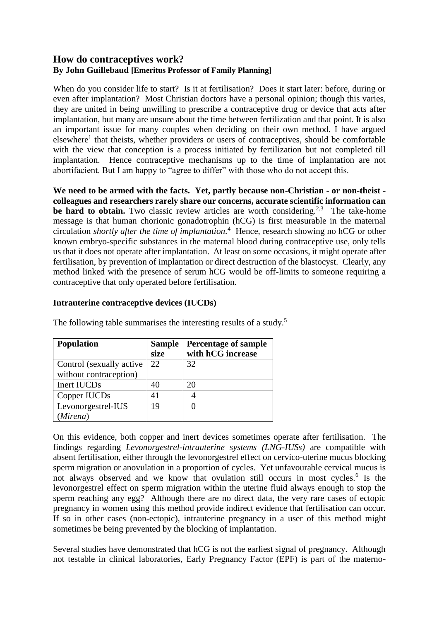# **How do contraceptives work? By John Guillebaud [Emeritus Professor of Family Planning]**

When do you consider life to start? Is it at fertilisation? Does it start later: before, during or even after implantation? Most Christian doctors have a personal opinion; though this varies, they are united in being unwilling to prescribe a contraceptive drug or device that acts after implantation, but many are unsure about the time between fertilization and that point. It is also an important issue for many couples when deciding on their own method. I have argued elsewhere<sup>1</sup> that theists, whether providers or users of contraceptives, should be comfortable with the view that conception is a process initiated by fertilization but not completed till implantation. Hence contraceptive mechanisms up to the time of implantation are not abortifacient. But I am happy to "agree to differ" with those who do not accept this.

**We need to be armed with the facts. Yet, partly because non-Christian - or non-theist colleagues and researchers rarely share our concerns, accurate scientific information can**  be hard to obtain. Two classic review articles are worth considering.<sup>2,3</sup> The take-home message is that human chorionic gonadotrophin (hCG) is first measurable in the maternal circulation *shortly after the time of implantation.* 4 Hence, research showing no hCG or other known embryo-specific substances in the maternal blood during contraceptive use, only tells us that it does not operate after implantation. At least on some occasions, it might operate after fertilisation, by prevention of implantation or direct destruction of the blastocyst. Clearly, any method linked with the presence of serum hCG would be off-limits to someone requiring a contraceptive that only operated before fertilisation.

# **Intrauterine contraceptive devices (IUCDs)**

| <b>Population</b>         | <b>Sample</b><br>size | <b>Percentage of sample</b><br>with hCG increase |
|---------------------------|-----------------------|--------------------------------------------------|
| Control (sexually active) | 22                    | 32                                               |
| without contraception)    |                       |                                                  |
| Inert IUCDs               | 40                    | 20                                               |
| Copper IUCDs              | 41                    |                                                  |
| Levonorgestrel-IUS        | 19                    |                                                  |
| (Mirena)                  |                       |                                                  |

The following table summarises the interesting results of a study.<sup>5</sup>

On this evidence, both copper and inert devices sometimes operate after fertilisation. The findings regarding *Levonorgestrel-intrauterine systems (LNG-IUSs)* are compatible with absent fertilisation, either through the levonorgestrel effect on cervico-uterine mucus blocking sperm migration or anovulation in a proportion of cycles. Yet unfavourable cervical mucus is not always observed and we know that ovulation still occurs in most cycles.<sup>6</sup> Is the levonorgestrel effect on sperm migration within the uterine fluid always enough to stop the sperm reaching any egg? Although there are no direct data, the very rare cases of ectopic pregnancy in women using this method provide indirect evidence that fertilisation can occur. If so in other cases (non-ectopic), intrauterine pregnancy in a user of this method might sometimes be being prevented by the blocking of implantation.

Several studies have demonstrated that hCG is not the earliest signal of pregnancy. Although not testable in clinical laboratories, Early Pregnancy Factor (EPF) is part of the materno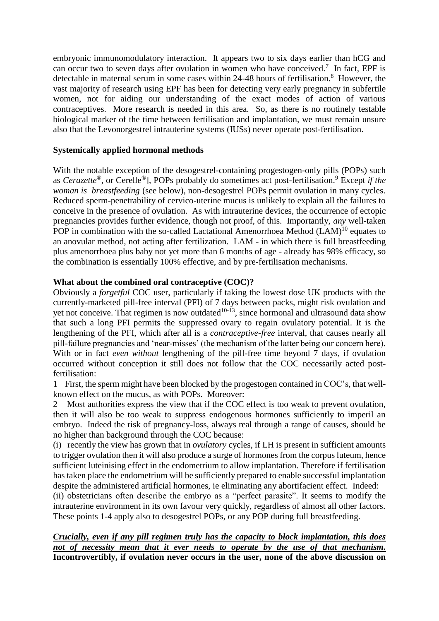embryonic immunomodulatory interaction. It appears two to six days earlier than hCG and can occur two to seven days after ovulation in women who have conceived.<sup>7</sup> In fact, EPF is detectable in maternal serum in some cases within 24-48 hours of fertilisation.<sup>8</sup> However, the vast majority of research using EPF has been for detecting very early pregnancy in subfertile women, not for aiding our understanding of the exact modes of action of various contraceptives. More research is needed in this area. So, as there is no routinely testable biological marker of the time between fertilisation and implantation, we must remain unsure also that the Levonorgestrel intrauterine systems (IUSs) never operate post-fertilisation.

## **Systemically applied hormonal methods**

With the notable exception of the desogestrel-containing progestogen-only pills (POPs) such as *Cerazette*®, or Cerelle®], POPs probably do sometimes act post-fertilisation.<sup>9</sup> Except *if the woman is breastfeeding* (see below), non-desogestrel POPs permit ovulation in many cycles. Reduced sperm-penetrability of cervico-uterine mucus is unlikely to explain all the failures to conceive in the presence of ovulation. As with intrauterine devices, the occurrence of ectopic pregnancies provides further evidence, though not proof, of this. Importantly, *any* well-taken POP in combination with the so-called Lactational Amenorrhoea Method (LAM)<sup>10</sup> equates to an anovular method, not acting after fertilization. LAM - in which there is full breastfeeding plus amenorrhoea plus baby not yet more than 6 months of age - already has 98% efficacy, so the combination is essentially 100% effective, and by pre-fertilisation mechanisms.

## **What about the combined oral contraceptive (COC)?**

Obviously a *forgetful* COC user, particularly if taking the lowest dose UK products with the currently-marketed pill-free interval (PFI) of 7 days between packs, might risk ovulation and yet not conceive. That regimen is now outdated $10-13$ , since hormonal and ultrasound data show that such a long PFI permits the suppressed ovary to regain ovulatory potential. It is the lengthening of the PFI, which after all is a *contraceptive-free* interval, that causes nearly all pill-failure pregnancies and 'near-misses' (the mechanism of the latter being our concern here). With or in fact *even without* lengthening of the pill-free time beyond 7 days, if ovulation occurred without conception it still does not follow that the COC necessarily acted postfertilisation:

1 First, the sperm might have been blocked by the progestogen contained in COC's, that wellknown effect on the mucus, as with POPs. Moreover:

2 Most authorities express the view that if the COC effect is too weak to prevent ovulation, then it will also be too weak to suppress endogenous hormones sufficiently to imperil an embryo. Indeed the risk of pregnancy-loss, always real through a range of causes, should be no higher than background through the COC because:

(i) recently the view has grown that in *ovulatory* cycles, if LH is present in sufficient amounts to trigger ovulation then it will also produce a surge of hormones from the corpus luteum, hence sufficient luteinising effect in the endometrium to allow implantation. Therefore if fertilisation has taken place the endometrium will be sufficiently prepared to enable successful implantation despite the administered artificial hormones, ie eliminating any abortifacient effect. Indeed:

(ii) obstetricians often describe the embryo as a "perfect parasite". It seems to modify the intrauterine environment in its own favour very quickly, regardless of almost all other factors. These points 1-4 apply also to desogestrel POPs, or any POP during full breastfeeding.

# *Crucially, even if any pill regimen truly has the capacity to block implantation, this does not of necessity mean that it ever needs to operate by the use of that mechanism.*  **Incontrovertibly, if ovulation never occurs in the user, none of the above discussion on**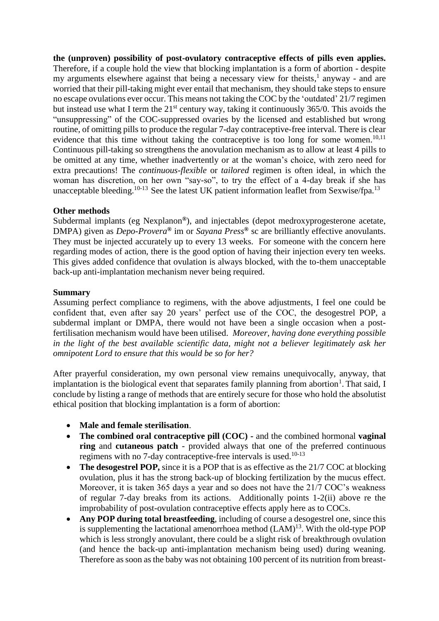**the (unproven) possibility of post-ovulatory contraceptive effects of pills even applies.** Therefore, if a couple hold the view that blocking implantation is a form of abortion - despite my arguments elsewhere against that being a necessary view for theists,<sup>1</sup> anyway - and are worried that their pill-taking might ever entail that mechanism, they should take steps to ensure no escape ovulations ever occur. This means not taking the COC by the 'outdated' 21/7 regimen but instead use what I term the  $21<sup>st</sup>$  century way, taking it continuously 365/0. This avoids the "unsuppressing" of the COC-suppressed ovaries by the licensed and established but wrong routine, of omitting pills to produce the regular 7-day contraceptive-free interval. There is clear evidence that this time without taking the contraceptive is too long for some women.<sup>10,11</sup> Continuous pill-taking so strengthens the anovulation mechanism as to allow at least 4 pills to be omitted at any time, whether inadvertently or at the woman's choice, with zero need for extra precautions! The *continuous-flexible* or *tailored* regimen is often ideal, in which the woman has discretion, on her own "say-so", to try the effect of a 4-day break if she has unacceptable bleeding.<sup>10-13</sup> See the latest UK patient information leaflet from Sexwise/fpa.<sup>13</sup>

## **Other methods**

Subdermal implants (eg Nexplanon**®**), and injectables (depot medroxyprogesterone acetate, DMPA) given as *Depo-Provera***®** im or *Sayana Press***®** sc are brilliantly effective anovulants. They must be injected accurately up to every 13 weeks. For someone with the concern here regarding modes of action, there is the good option of having their injection every ten weeks. This gives added confidence that ovulation is always blocked, with the to-them unacceptable back-up anti-implantation mechanism never being required.

## **Summary**

Assuming perfect compliance to regimens, with the above adjustments, I feel one could be confident that, even after say 20 years' perfect use of the COC, the desogestrel POP, a subdermal implant or DMPA, there would not have been a single occasion when a postfertilisation mechanism would have been utilised. *Moreover, having done everything possible in the light of the best available scientific data, might not a believer legitimately ask her omnipotent Lord to ensure that this would be so for her?*

After prayerful consideration, my own personal view remains unequivocally, anyway, that implantation is the biological event that separates family planning from abortion<sup>1</sup>. That said, I conclude by listing a range of methods that are entirely secure for those who hold the absolutist ethical position that blocking implantation is a form of abortion:

- **Male and female sterilisation**.
- **The combined oral contraceptive pill (COC) -** and the combined hormonal **vaginal ring** and **cutaneous patch** - provided always that one of the preferred continuous regimens with no 7-day contraceptive-free intervals is used.10-13
- The **desogestrel POP**, since it is a POP that is as effective as the 21/7 COC at blocking ovulation, plus it has the strong back-up of blocking fertilization by the mucus effect. Moreover, it is taken 365 days a year and so does not have the 21/7 COC's weakness of regular 7-day breaks from its actions. Additionally points 1-2(ii) above re the improbability of post-ovulation contraceptive effects apply here as to COCs.
- **Any POP during total breastfeeding**, including of course a desogestrel one, since this is supplementing the lactational amenorrhoea method  $(LAM)^{13}$ . With the old-type POP which is less strongly anovulant, there could be a slight risk of breakthrough ovulation (and hence the back-up anti-implantation mechanism being used) during weaning. Therefore as soon as the baby was not obtaining 100 percent of its nutrition from breast-